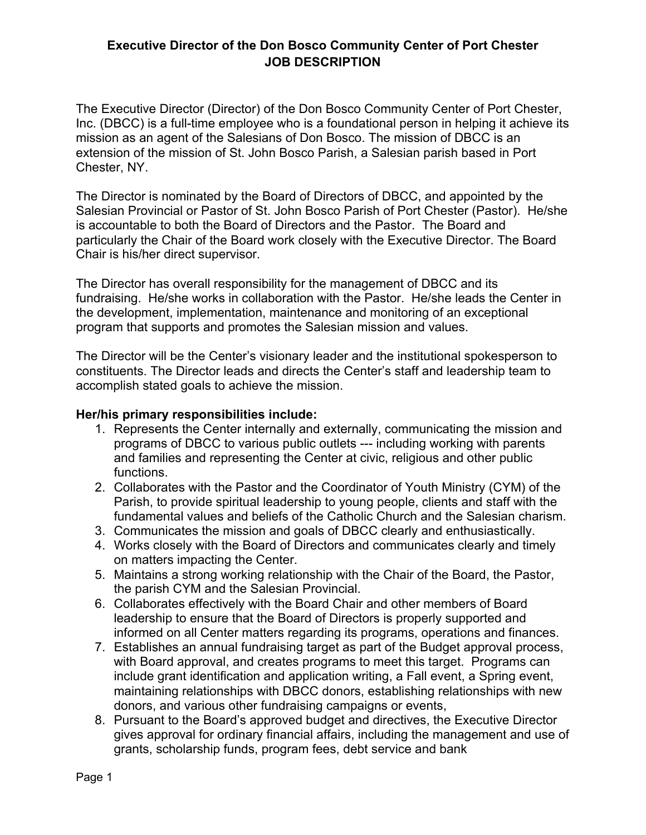### **Executive Director of the Don Bosco Community Center of Port Chester JOB DESCRIPTION**

The Executive Director (Director) of the Don Bosco Community Center of Port Chester, Inc. (DBCC) is a full-time employee who is a foundational person in helping it achieve its mission as an agent of the Salesians of Don Bosco. The mission of DBCC is an extension of the mission of St. John Bosco Parish, a Salesian parish based in Port Chester, NY.

The Director is nominated by the Board of Directors of DBCC, and appointed by the Salesian Provincial or Pastor of St. John Bosco Parish of Port Chester (Pastor). He/she is accountable to both the Board of Directors and the Pastor. The Board and particularly the Chair of the Board work closely with the Executive Director. The Board Chair is his/her direct supervisor.

The Director has overall responsibility for the management of DBCC and its fundraising. He/she works in collaboration with the Pastor. He/she leads the Center in the development, implementation, maintenance and monitoring of an exceptional program that supports and promotes the Salesian mission and values.

The Director will be the Center's visionary leader and the institutional spokesperson to constituents. The Director leads and directs the Center's staff and leadership team to accomplish stated goals to achieve the mission.

#### **Her/his primary responsibilities include:**

- 1. Represents the Center internally and externally, communicating the mission and programs of DBCC to various public outlets --- including working with parents and families and representing the Center at civic, religious and other public functions.
- 2. Collaborates with the Pastor and the Coordinator of Youth Ministry (CYM) of the Parish, to provide spiritual leadership to young people, clients and staff with the fundamental values and beliefs of the Catholic Church and the Salesian charism.
- 3. Communicates the mission and goals of DBCC clearly and enthusiastically.
- 4. Works closely with the Board of Directors and communicates clearly and timely on matters impacting the Center.
- 5. Maintains a strong working relationship with the Chair of the Board, the Pastor, the parish CYM and the Salesian Provincial.
- 6. Collaborates effectively with the Board Chair and other members of Board leadership to ensure that the Board of Directors is properly supported and informed on all Center matters regarding its programs, operations and finances.
- 7. Establishes an annual fundraising target as part of the Budget approval process, with Board approval, and creates programs to meet this target. Programs can include grant identification and application writing, a Fall event, a Spring event, maintaining relationships with DBCC donors, establishing relationships with new donors, and various other fundraising campaigns or events,
- 8. Pursuant to the Board's approved budget and directives, the Executive Director gives approval for ordinary financial affairs, including the management and use of grants, scholarship funds, program fees, debt service and bank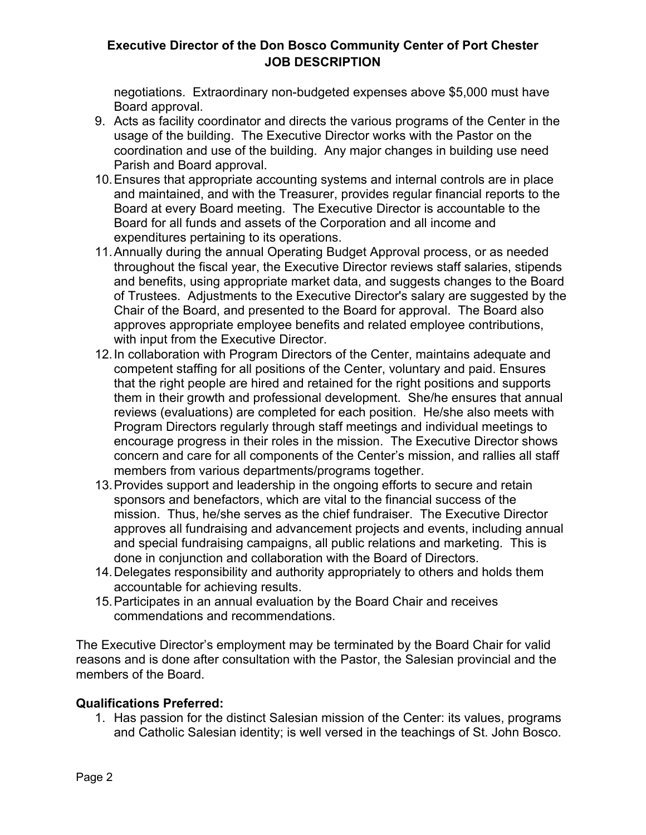# **Executive Director of the Don Bosco Community Center of Port Chester JOB DESCRIPTION**

negotiations. Extraordinary non-budgeted expenses above \$5,000 must have Board approval.

- 9. Acts as facility coordinator and directs the various programs of the Center in the usage of the building. The Executive Director works with the Pastor on the coordination and use of the building. Any major changes in building use need Parish and Board approval.
- 10.Ensures that appropriate accounting systems and internal controls are in place and maintained, and with the Treasurer, provides regular financial reports to the Board at every Board meeting. The Executive Director is accountable to the Board for all funds and assets of the Corporation and all income and expenditures pertaining to its operations.
- 11.Annually during the annual Operating Budget Approval process, or as needed throughout the fiscal year, the Executive Director reviews staff salaries, stipends and benefits, using appropriate market data, and suggests changes to the Board of Trustees. Adjustments to the Executive Director's salary are suggested by the Chair of the Board, and presented to the Board for approval. The Board also approves appropriate employee benefits and related employee contributions, with input from the Executive Director.
- 12.In collaboration with Program Directors of the Center, maintains adequate and competent staffing for all positions of the Center, voluntary and paid. Ensures that the right people are hired and retained for the right positions and supports them in their growth and professional development. She/he ensures that annual reviews (evaluations) are completed for each position. He/she also meets with Program Directors regularly through staff meetings and individual meetings to encourage progress in their roles in the mission. The Executive Director shows concern and care for all components of the Center's mission, and rallies all staff members from various departments/programs together.
- 13.Provides support and leadership in the ongoing efforts to secure and retain sponsors and benefactors, which are vital to the financial success of the mission. Thus, he/she serves as the chief fundraiser. The Executive Director approves all fundraising and advancement projects and events, including annual and special fundraising campaigns, all public relations and marketing. This is done in conjunction and collaboration with the Board of Directors.
- 14.Delegates responsibility and authority appropriately to others and holds them accountable for achieving results.
- 15.Participates in an annual evaluation by the Board Chair and receives commendations and recommendations.

The Executive Director's employment may be terminated by the Board Chair for valid reasons and is done after consultation with the Pastor, the Salesian provincial and the members of the Board.

#### **Qualifications Preferred:**

1. Has passion for the distinct Salesian mission of the Center: its values, programs and Catholic Salesian identity; is well versed in the teachings of St. John Bosco.